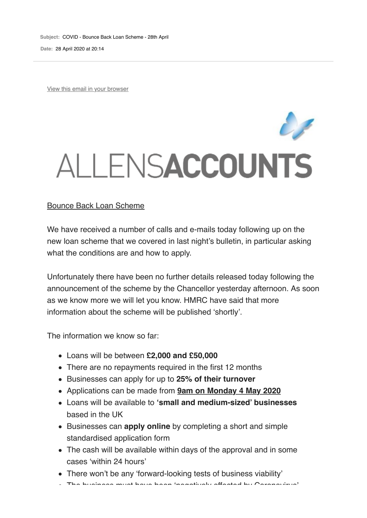**Subject:** COVID - Bounce Back Loan Scheme - 28th April **Date:** 28 April 2020 at 20:14

View this email in your browser

## ALLENSACCOUNTS

## Bounce Back Loan Scheme

We have received a number of calls and e-mails today following up on the new loan scheme that we covered in last night's bulletin, in particular asking what the conditions are and how to apply.

Unfortunately there have been no further details released today following the announcement of the scheme by the Chancellor yesterday afternoon. As soon as we know more we will let you know. HMRC have said that more information about the scheme will be published 'shortly'.

The information we know so far:

- Loans will be between **£2,000 and £50,000**
- There are no repayments required in the first 12 months
- Businesses can apply for up to **25% of their turnover**
- Applications can be made from **9am on Monday 4 May 2020**
- Loans will be available to **'small and medium-sized' businesses** based in the UK
- Businesses can **apply online** by completing a short and simple standardised application form
- The cash will be available within days of the approval and in some cases 'within 24 hours'
- There won't be any 'forward-looking tests of business viability'
- The business must have been 'negatively affected by Coronavirus'